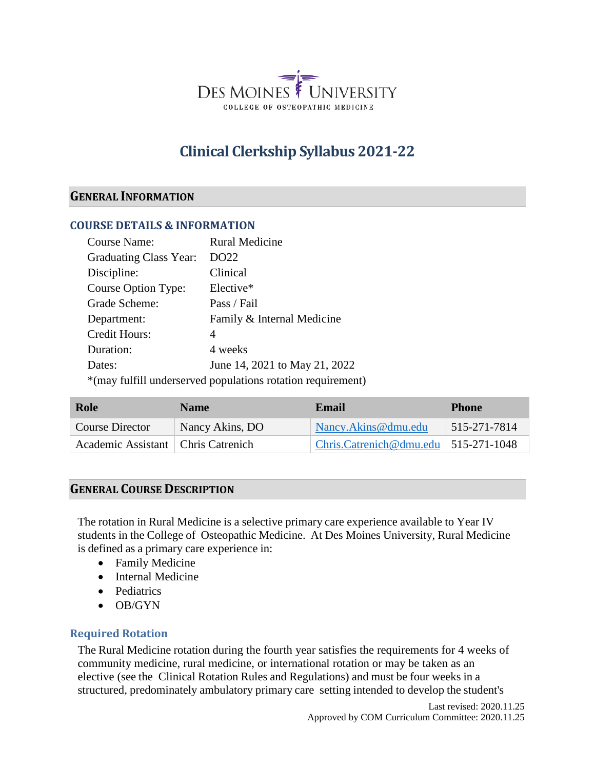

# **Clinical Clerkship Syllabus 2021-22**

## **GENERAL INFORMATION**

#### **COURSE DETAILS & INFORMATION**

| <b>Course Name:</b>    | <b>Rural Medicine</b>                                       |
|------------------------|-------------------------------------------------------------|
| Graduating Class Year: | DO22                                                        |
| Discipline:            | Clinical                                                    |
| Course Option Type:    | Elective*                                                   |
| Grade Scheme:          | Pass / Fail                                                 |
| Department:            | Family & Internal Medicine                                  |
| Credit Hours:          | 4                                                           |
| Duration:              | 4 weeks                                                     |
| Dates:                 | June 14, 2021 to May 21, 2022                               |
|                        | *(may fulfill underserved populations rotation requirement) |

| Role                                 | <b>Name</b>     | Email                                             | <b>Phone</b>     |
|--------------------------------------|-----------------|---------------------------------------------------|------------------|
| <b>Course Director</b>               | Nancy Akins, DO | Nancy. Akins @ dmu.edu                            | $ 515-271-7814 $ |
| Academic Assistant   Chris Catrenich |                 | $\text{Christ.}$ Catrenich@dmu.edu   515-271-1048 |                  |

## **GENERAL COURSE DESCRIPTION**

The rotation in Rural Medicine is a selective primary care experience available to Year IV students in the College of Osteopathic Medicine. At Des Moines University, Rural Medicine is defined as a primary care experience in:

- Family Medicine
- Internal Medicine
- Pediatrics
- OB/GYN

## **Required Rotation**

The Rural Medicine rotation during the fourth year satisfies the requirements for 4 weeks of community medicine, rural medicine, or international rotation or may be taken as an elective (see the Clinical Rotation Rules and Regulations) and must be four weeks in a structured, predominately ambulatory primary care setting intended to develop the student's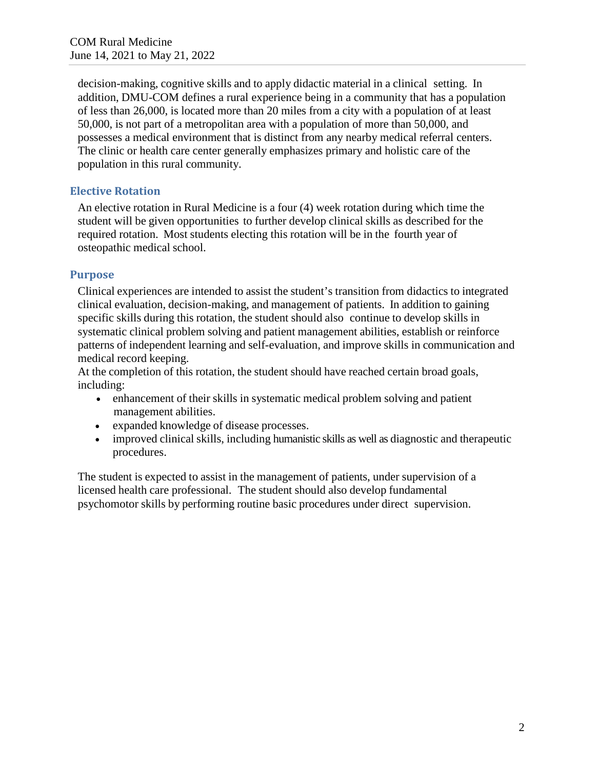decision-making, cognitive skills and to apply didactic material in a clinical setting. In addition, DMU-COM defines a rural experience being in a community that has a population of less than 26,000, is located more than 20 miles from a city with a population of at least 50,000, is not part of a metropolitan area with a population of more than 50,000, and possesses a medical environment that is distinct from any nearby medical referral centers. The clinic or health care center generally emphasizes primary and holistic care of the population in this rural community.

# **Elective Rotation**

An elective rotation in Rural Medicine is a four (4) week rotation during which time the student will be given opportunities to further develop clinical skills as described for the required rotation. Most students electing this rotation will be in the fourth year of osteopathic medical school.

## **Purpose**

Clinical experiences are intended to assist the student's transition from didactics to integrated clinical evaluation, decision-making, and management of patients. In addition to gaining specific skills during this rotation, the student should also continue to develop skills in systematic clinical problem solving and patient management abilities, establish or reinforce patterns of independent learning and self-evaluation, and improve skills in communication and medical record keeping.

At the completion of this rotation, the student should have reached certain broad goals, including:

- enhancement of their skills in systematic medical problem solving and patient management abilities.
- expanded knowledge of disease processes.
- improved clinical skills, including humanistic skills as well as diagnostic and therapeutic procedures.

The student is expected to assist in the management of patients, under supervision of a licensed health care professional. The student should also develop fundamental psychomotor skills by performing routine basic procedures under direct supervision.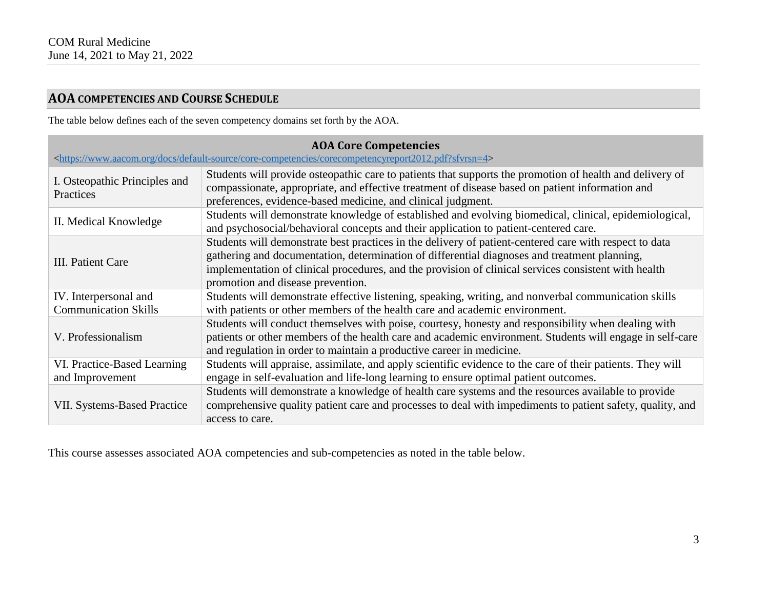# **AOA COMPETENCIES AND COURSE SCHEDULE**

The table below defines each of the seven competency domains set forth by the AOA.

| <b>AOA Core Competencies</b><br><https: core-competencies="" corecompetencyreport2012.pdf?sfvrsn="4" default-source="" docs="" www.aacom.org=""></https:> |                                                                                                                                                                                                                                                                                                                                                     |  |  |
|-----------------------------------------------------------------------------------------------------------------------------------------------------------|-----------------------------------------------------------------------------------------------------------------------------------------------------------------------------------------------------------------------------------------------------------------------------------------------------------------------------------------------------|--|--|
| I. Osteopathic Principles and<br>Practices                                                                                                                | Students will provide osteopathic care to patients that supports the promotion of health and delivery of<br>compassionate, appropriate, and effective treatment of disease based on patient information and<br>preferences, evidence-based medicine, and clinical judgment.                                                                         |  |  |
| II. Medical Knowledge                                                                                                                                     | Students will demonstrate knowledge of established and evolving biomedical, clinical, epidemiological,<br>and psychosocial/behavioral concepts and their application to patient-centered care.                                                                                                                                                      |  |  |
| III. Patient Care                                                                                                                                         | Students will demonstrate best practices in the delivery of patient-centered care with respect to data<br>gathering and documentation, determination of differential diagnoses and treatment planning,<br>implementation of clinical procedures, and the provision of clinical services consistent with health<br>promotion and disease prevention. |  |  |
| IV. Interpersonal and                                                                                                                                     | Students will demonstrate effective listening, speaking, writing, and nonverbal communication skills                                                                                                                                                                                                                                                |  |  |
| <b>Communication Skills</b>                                                                                                                               | with patients or other members of the health care and academic environment.                                                                                                                                                                                                                                                                         |  |  |
| V. Professionalism                                                                                                                                        | Students will conduct themselves with poise, courtesy, honesty and responsibility when dealing with<br>patients or other members of the health care and academic environment. Students will engage in self-care<br>and regulation in order to maintain a productive career in medicine.                                                             |  |  |
| VI. Practice-Based Learning<br>and Improvement                                                                                                            | Students will appraise, assimilate, and apply scientific evidence to the care of their patients. They will<br>engage in self-evaluation and life-long learning to ensure optimal patient outcomes.                                                                                                                                                  |  |  |
| <b>VII. Systems-Based Practice</b>                                                                                                                        | Students will demonstrate a knowledge of health care systems and the resources available to provide<br>comprehensive quality patient care and processes to deal with impediments to patient safety, quality, and<br>access to care.                                                                                                                 |  |  |

This course assesses associated AOA competencies and sub-competencies as noted in the table below.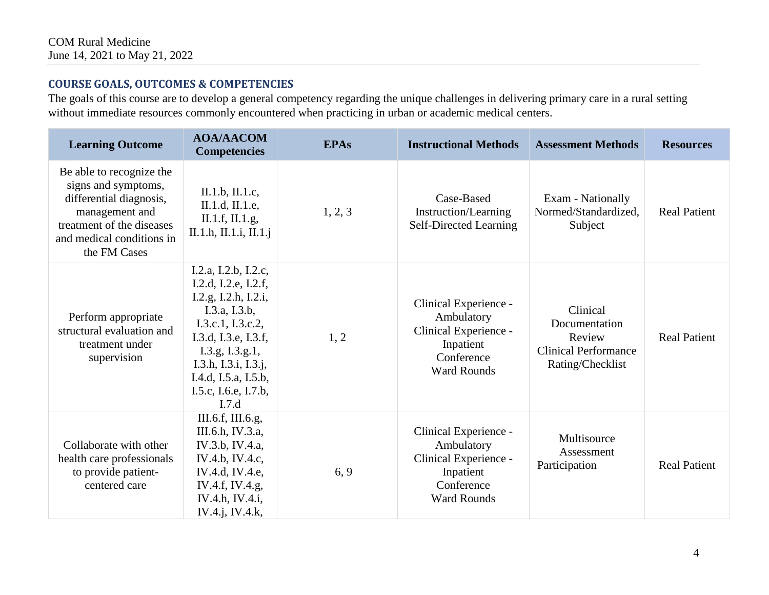# **COURSE GOALS, OUTCOMES & COMPETENCIES**

The goals of this course are to develop a general competency regarding the unique challenges in delivering primary care in a rural setting without immediate resources commonly encountered when practicing in urban or academic medical centers.

| <b>Learning Outcome</b>                                                                                                                                                | <b>AOA/AACOM</b><br><b>Competencies</b>                                                                                                                                                                                                | <b>EPAs</b> | <b>Instructional Methods</b>                                                                                  | <b>Assessment Methods</b>                                                              | <b>Resources</b>    |
|------------------------------------------------------------------------------------------------------------------------------------------------------------------------|----------------------------------------------------------------------------------------------------------------------------------------------------------------------------------------------------------------------------------------|-------------|---------------------------------------------------------------------------------------------------------------|----------------------------------------------------------------------------------------|---------------------|
| Be able to recognize the<br>signs and symptoms,<br>differential diagnosis,<br>management and<br>treatment of the diseases<br>and medical conditions in<br>the FM Cases | II.1.b, II.1.c,<br>II.1.d, II.1.e,<br>II.1.f, II.1.g,<br>II.1.h, II.1.i, II.1.j                                                                                                                                                        | 1, 2, 3     | Case-Based<br>Instruction/Learning<br>Self-Directed Learning                                                  | Exam - Nationally<br>Normed/Standardized,<br>Subject                                   | <b>Real Patient</b> |
| Perform appropriate<br>structural evaluation and<br>treatment under<br>supervision                                                                                     | I.2.a, I.2.b, I.2.c,<br>I.2.d, I.2.e, I.2.f,<br>I.2.g, I.2.h, I.2.i,<br>I.3.a, I.3.b,<br>I.3.c.1, I.3.c.2,<br>I.3.d, I.3.e, I.3.f,<br>I.3.g, I.3.g.1,<br>I.3.h, I.3.i, I.3.j,<br>I.4.d, I.5.a, I.5.b,<br>I.5.c, I.6.e, I.7.b,<br>I.7.d | 1, 2        | Clinical Experience -<br>Ambulatory<br>Clinical Experience -<br>Inpatient<br>Conference<br><b>Ward Rounds</b> | Clinical<br>Documentation<br>Review<br><b>Clinical Performance</b><br>Rating/Checklist | <b>Real Patient</b> |
| Collaborate with other<br>health care professionals<br>to provide patient-<br>centered care                                                                            | III.6.f, III.6.g,<br>III.6.h, IV.3.a,<br>IV.3.b, IV.4.a,<br>IV.4.b, IV.4.c,<br>IV.4.d, IV.4.e,<br>IV.4.f, IV.4.g,<br>IV.4.h, IV.4.i,<br>IV.4.j, IV.4.k,                                                                                | 6, 9        | Clinical Experience -<br>Ambulatory<br>Clinical Experience -<br>Inpatient<br>Conference<br><b>Ward Rounds</b> | Multisource<br>Assessment<br>Participation                                             | <b>Real Patient</b> |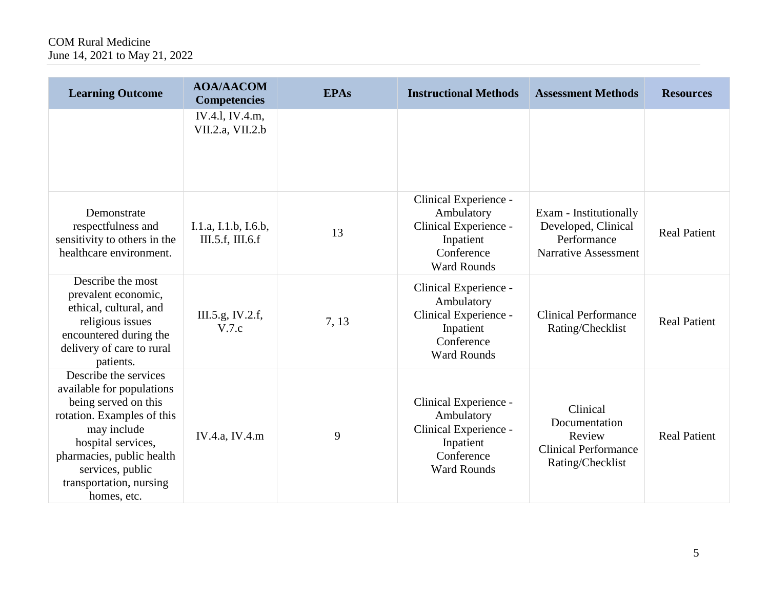| <b>Learning Outcome</b>                                                                                                                                                                                                                  | <b>AOA/AACOM</b><br><b>Competencies</b>  | <b>EPAs</b> | <b>Instructional Methods</b>                                                                                  | <b>Assessment Methods</b>                                                                   | <b>Resources</b>    |
|------------------------------------------------------------------------------------------------------------------------------------------------------------------------------------------------------------------------------------------|------------------------------------------|-------------|---------------------------------------------------------------------------------------------------------------|---------------------------------------------------------------------------------------------|---------------------|
|                                                                                                                                                                                                                                          | IV.4.1, IV.4.m,<br>VII.2.a, VII.2.b      |             |                                                                                                               |                                                                                             |                     |
| Demonstrate<br>respectfulness and<br>sensitivity to others in the<br>healthcare environment.                                                                                                                                             | I.1.a, I.1.b, I.6.b,<br>III.5.f, III.6.f | 13          | Clinical Experience -<br>Ambulatory<br>Clinical Experience -<br>Inpatient<br>Conference<br><b>Ward Rounds</b> | Exam - Institutionally<br>Developed, Clinical<br>Performance<br><b>Narrative Assessment</b> | <b>Real Patient</b> |
| Describe the most<br>prevalent economic,<br>ethical, cultural, and<br>religious issues<br>encountered during the<br>delivery of care to rural<br>patients.                                                                               | III.5.g, IV.2.f,<br>V.7.c                | 7, 13       | Clinical Experience -<br>Ambulatory<br>Clinical Experience -<br>Inpatient<br>Conference<br><b>Ward Rounds</b> | <b>Clinical Performance</b><br>Rating/Checklist                                             | <b>Real Patient</b> |
| Describe the services<br>available for populations<br>being served on this<br>rotation. Examples of this<br>may include<br>hospital services,<br>pharmacies, public health<br>services, public<br>transportation, nursing<br>homes, etc. | IV.4.a, IV.4.m                           | 9           | Clinical Experience -<br>Ambulatory<br>Clinical Experience -<br>Inpatient<br>Conference<br><b>Ward Rounds</b> | Clinical<br>Documentation<br>Review<br><b>Clinical Performance</b><br>Rating/Checklist      | <b>Real Patient</b> |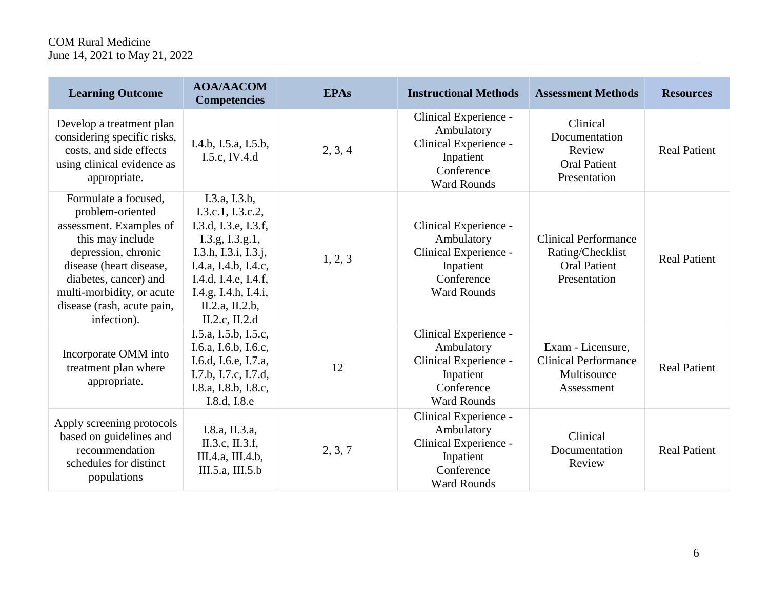# COM Rural Medicine June 14, 2021 to May 21, 2022

| <b>Learning Outcome</b>                                                                                                                                                                                                                      | <b>AOA/AACOM</b><br><b>Competencies</b>                                                                                                                                                                            | <b>EPAs</b> | <b>Instructional Methods</b>                                                                                  | <b>Assessment Methods</b>                                                              | <b>Resources</b>    |
|----------------------------------------------------------------------------------------------------------------------------------------------------------------------------------------------------------------------------------------------|--------------------------------------------------------------------------------------------------------------------------------------------------------------------------------------------------------------------|-------------|---------------------------------------------------------------------------------------------------------------|----------------------------------------------------------------------------------------|---------------------|
| Develop a treatment plan<br>considering specific risks,<br>costs, and side effects<br>using clinical evidence as<br>appropriate.                                                                                                             | I.4.b, I.5.a, I.5.b,<br>I.5.c, IV.4.d                                                                                                                                                                              | 2, 3, 4     | Clinical Experience -<br>Ambulatory<br>Clinical Experience -<br>Inpatient<br>Conference<br><b>Ward Rounds</b> | Clinical<br>Documentation<br>Review<br><b>Oral Patient</b><br>Presentation             | <b>Real Patient</b> |
| Formulate a focused,<br>problem-oriented<br>assessment. Examples of<br>this may include<br>depression, chronic<br>disease (heart disease,<br>diabetes, cancer) and<br>multi-morbidity, or acute<br>disease (rash, acute pain,<br>infection). | I.3.a, I.3.b,<br>I.3.c.1, I.3.c.2,<br>I.3.d, I.3.e, I.3.f,<br>I.3.g, I.3.g.1,<br>I.3.h, I.3.i, I.3.j,<br>I.4.a, I.4.b, I.4.c,<br>I.4.d, I.4.e, I.4.f,<br>I.4.g, I.4.h, I.4.i,<br>II.2.a, II.2.b,<br>II.2.c, II.2.d | 1, 2, 3     | Clinical Experience -<br>Ambulatory<br>Clinical Experience -<br>Inpatient<br>Conference<br><b>Ward Rounds</b> | <b>Clinical Performance</b><br>Rating/Checklist<br><b>Oral Patient</b><br>Presentation | <b>Real Patient</b> |
| Incorporate OMM into<br>treatment plan where<br>appropriate.                                                                                                                                                                                 | I.5.a, I.5.b, I.5.c,<br>I.6.a, I.6.b, I.6.c,<br>I.6.d, I.6.e, I.7.a,<br>I.7.b, I.7.c, I.7.d,<br>I.8.a, I.8.b, I.8.c,<br>I.8.d, I.8.e                                                                               | 12          | Clinical Experience -<br>Ambulatory<br>Clinical Experience -<br>Inpatient<br>Conference<br><b>Ward Rounds</b> | Exam - Licensure,<br><b>Clinical Performance</b><br>Multisource<br>Assessment          | <b>Real Patient</b> |
| Apply screening protocols<br>based on guidelines and<br>recommendation<br>schedules for distinct<br>populations                                                                                                                              | I.8.a, II.3.a,<br>II.3.c, II.3.f,<br>III.4.a, III.4.b,<br>III.5.a, III.5.b                                                                                                                                         | 2, 3, 7     | Clinical Experience -<br>Ambulatory<br>Clinical Experience -<br>Inpatient<br>Conference<br><b>Ward Rounds</b> | Clinical<br>Documentation<br>Review                                                    | <b>Real Patient</b> |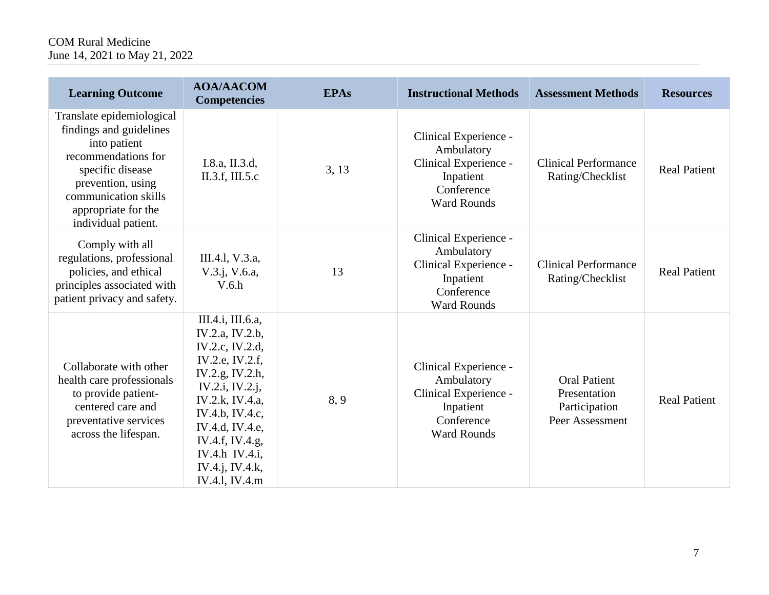# COM Rural Medicine June 14, 2021 to May 21, 2022

| <b>Learning Outcome</b>                                                                                                                                                                                    | <b>AOA/AACOM</b><br><b>Competencies</b>                                                                                                                                                                                                             | <b>EPAs</b> | <b>Instructional Methods</b>                                                                                  | <b>Assessment Methods</b>                                               | <b>Resources</b>    |
|------------------------------------------------------------------------------------------------------------------------------------------------------------------------------------------------------------|-----------------------------------------------------------------------------------------------------------------------------------------------------------------------------------------------------------------------------------------------------|-------------|---------------------------------------------------------------------------------------------------------------|-------------------------------------------------------------------------|---------------------|
| Translate epidemiological<br>findings and guidelines<br>into patient<br>recommendations for<br>specific disease<br>prevention, using<br>communication skills<br>appropriate for the<br>individual patient. | I.8.a, II.3.d,<br>II.3.f, III.5.c                                                                                                                                                                                                                   | 3, 13       | Clinical Experience -<br>Ambulatory<br>Clinical Experience -<br>Inpatient<br>Conference<br><b>Ward Rounds</b> | <b>Clinical Performance</b><br>Rating/Checklist                         | <b>Real Patient</b> |
| Comply with all<br>regulations, professional<br>policies, and ethical<br>principles associated with<br>patient privacy and safety.                                                                         | III.4.1, V.3.a,<br>$V.3.$ j, $V.6.a$ ,<br>V.6.h                                                                                                                                                                                                     | 13          | Clinical Experience -<br>Ambulatory<br>Clinical Experience -<br>Inpatient<br>Conference<br><b>Ward Rounds</b> | <b>Clinical Performance</b><br>Rating/Checklist                         | <b>Real Patient</b> |
| Collaborate with other<br>health care professionals<br>to provide patient-<br>centered care and<br>preventative services<br>across the lifespan.                                                           | III.4.i, III.6.a,<br>IV.2.a, IV.2.b,<br>IV.2.c, IV.2.d,<br>IV.2.e, IV.2.f,<br>IV.2.g, IV.2.h,<br>IV.2.i, IV.2.j,<br>IV.2.k, IV.4.a,<br>IV.4.b, IV.4.c,<br>IV.4.d, IV.4.e,<br>IV.4.f, IV.4.g,<br>IV.4.h IV.4.i,<br>IV.4.j, IV.4.k,<br>IV.4.1, IV.4.m | 8,9         | Clinical Experience -<br>Ambulatory<br>Clinical Experience -<br>Inpatient<br>Conference<br><b>Ward Rounds</b> | <b>Oral Patient</b><br>Presentation<br>Participation<br>Peer Assessment | <b>Real Patient</b> |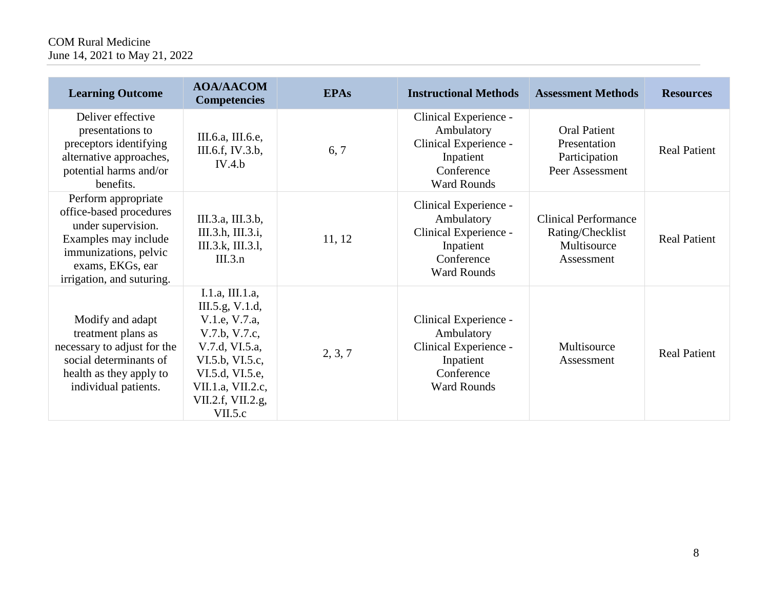# COM Rural Medicine June 14, 2021 to May 21, 2022

| <b>Learning Outcome</b>                                                                                                                                                | <b>AOA/AACOM</b><br><b>Competencies</b>                                                                                                                                           | <b>EPAs</b> | <b>Instructional Methods</b>                                                                                  | <b>Assessment Methods</b>                                                    | <b>Resources</b>    |
|------------------------------------------------------------------------------------------------------------------------------------------------------------------------|-----------------------------------------------------------------------------------------------------------------------------------------------------------------------------------|-------------|---------------------------------------------------------------------------------------------------------------|------------------------------------------------------------------------------|---------------------|
| Deliver effective<br>presentations to<br>preceptors identifying<br>alternative approaches,<br>potential harms and/or<br>benefits.                                      | III.6.a, III.6.e,<br>III.6.f, IV.3.b,<br>IV.4.b                                                                                                                                   | 6, 7        | Clinical Experience -<br>Ambulatory<br>Clinical Experience -<br>Inpatient<br>Conference<br><b>Ward Rounds</b> | <b>Oral Patient</b><br>Presentation<br>Participation<br>Peer Assessment      | <b>Real Patient</b> |
| Perform appropriate<br>office-based procedures<br>under supervision.<br>Examples may include<br>immunizations, pelvic<br>exams, EKGs, ear<br>irrigation, and suturing. | III.3.a, III.3.b,<br>III.3.h, III.3.i,<br>III.3.k, III.3.l,<br>III.3.n                                                                                                            | 11, 12      | Clinical Experience -<br>Ambulatory<br>Clinical Experience -<br>Inpatient<br>Conference<br><b>Ward Rounds</b> | <b>Clinical Performance</b><br>Rating/Checklist<br>Multisource<br>Assessment | <b>Real Patient</b> |
| Modify and adapt<br>treatment plans as<br>necessary to adjust for the<br>social determinants of<br>health as they apply to<br>individual patients.                     | I.1.a, III.1.a,<br>III.5.g, V.1.d,<br>V.1.e, V.7.a,<br>V.7.b, V.7.c,<br>V.7.d, VI.5.a,<br>VI.5.b, VI.5.c,<br>VI.5.d, VI.5.e,<br>VII.1.a, VII.2.c,<br>VII.2.f, VII.2.g,<br>VII.5.c | 2, 3, 7     | Clinical Experience -<br>Ambulatory<br>Clinical Experience -<br>Inpatient<br>Conference<br><b>Ward Rounds</b> | Multisource<br>Assessment                                                    | <b>Real Patient</b> |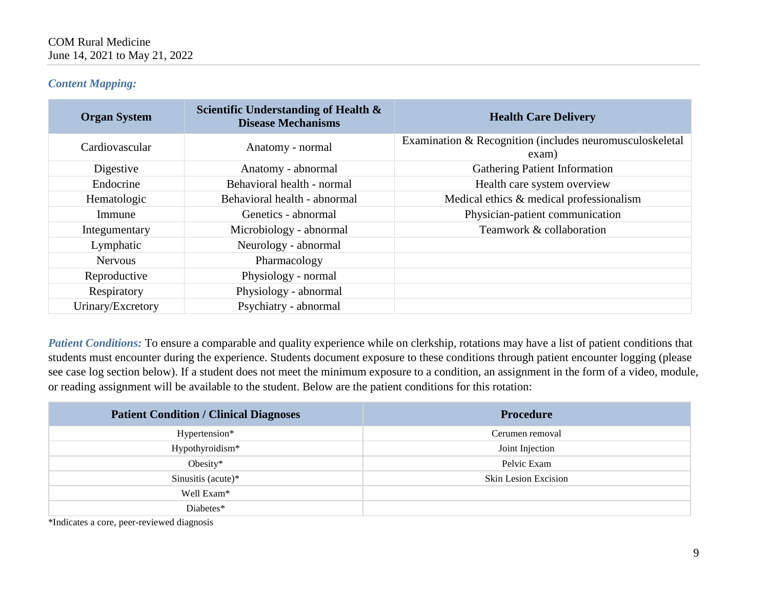## *Content Mapping:*

| <b>Organ System</b> | Scientific Understanding of Health &<br><b>Disease Mechanisms</b> | <b>Health Care Delivery</b>                                       |
|---------------------|-------------------------------------------------------------------|-------------------------------------------------------------------|
| Cardiovascular      | Anatomy - normal                                                  | Examination & Recognition (includes neuromusculoskeletal<br>exam) |
| Digestive           | Anatomy - abnormal                                                | <b>Gathering Patient Information</b>                              |
| Endocrine           | Behavioral health - normal                                        | Health care system overview                                       |
| Hematologic         | Behavioral health - abnormal                                      | Medical ethics & medical professionalism                          |
| Immune              | Genetics - abnormal                                               | Physician-patient communication                                   |
| Integumentary       | Microbiology - abnormal                                           | Teamwork & collaboration                                          |
| Lymphatic           | Neurology - abnormal                                              |                                                                   |
| <b>Nervous</b>      | Pharmacology                                                      |                                                                   |
| Reproductive        | Physiology - normal                                               |                                                                   |
| Respiratory         | Physiology - abnormal                                             |                                                                   |
| Urinary/Excretory   | Psychiatry - abnormal                                             |                                                                   |

*Patient Conditions:* To ensure a comparable and quality experience while on clerkship, rotations may have a list of patient conditions that students must encounter during the experience. Students document exposure to these conditions through patient encounter logging (please see case log section below). If a student does not meet the minimum exposure to a condition, an assignment in the form of a video, module, or reading assignment will be available to the student. Below are the patient conditions for this rotation:

| <b>Patient Condition / Clinical Diagnoses</b> | <b>Procedure</b>     |
|-----------------------------------------------|----------------------|
| Hypertension*                                 | Cerumen removal      |
| Hypothyroidism*                               | Joint Injection      |
| Obesity*                                      | Pelvic Exam          |
| Sinusitis (acute) $*$                         | Skin Lesion Excision |
| Well Exam*                                    |                      |
| Diabetes*                                     |                      |

\*Indicates a core, peer-reviewed diagnosis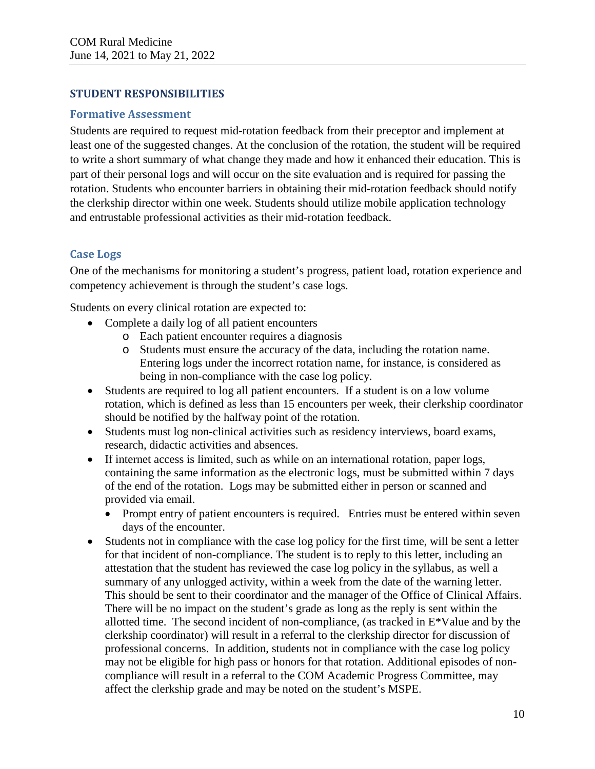## **STUDENT RESPONSIBILITIES**

#### **Formative Assessment**

Students are required to request mid-rotation feedback from their preceptor and implement at least one of the suggested changes. At the conclusion of the rotation, the student will be required to write a short summary of what change they made and how it enhanced their education. This is part of their personal logs and will occur on the site evaluation and is required for passing the rotation. Students who encounter barriers in obtaining their mid-rotation feedback should notify the clerkship director within one week. Students should utilize mobile application technology and entrustable professional activities as their mid-rotation feedback.

# **Case Logs**

One of the mechanisms for monitoring a student's progress, patient load, rotation experience and competency achievement is through the student's case logs.

Students on every clinical rotation are expected to:

- Complete a daily log of all patient encounters
	- o Each patient encounter requires a diagnosis
	- o Students must ensure the accuracy of the data, including the rotation name. Entering logs under the incorrect rotation name, for instance, is considered as being in non-compliance with the case log policy.
- Students are required to log all patient encounters. If a student is on a low volume rotation, which is defined as less than 15 encounters per week, their clerkship coordinator should be notified by the halfway point of the rotation.
- Students must log non-clinical activities such as residency interviews, board exams, research, didactic activities and absences.
- If internet access is limited, such as while on an international rotation, paper logs, containing the same information as the electronic logs, must be submitted within 7 days of the end of the rotation. Logs may be submitted either in person or scanned and provided via email.
	- Prompt entry of patient encounters is required. Entries must be entered within seven days of the encounter.
- Students not in compliance with the case log policy for the first time, will be sent a letter for that incident of non-compliance. The student is to reply to this letter, including an attestation that the student has reviewed the case log policy in the syllabus, as well a summary of any unlogged activity, within a week from the date of the warning letter. This should be sent to their coordinator and the manager of the Office of Clinical Affairs. There will be no impact on the student's grade as long as the reply is sent within the allotted time. The second incident of non-compliance, (as tracked in E\*Value and by the clerkship coordinator) will result in a referral to the clerkship director for discussion of professional concerns. In addition, students not in compliance with the case log policy may not be eligible for high pass or honors for that rotation. Additional episodes of noncompliance will result in a referral to the COM Academic Progress Committee, may affect the clerkship grade and may be noted on the student's MSPE.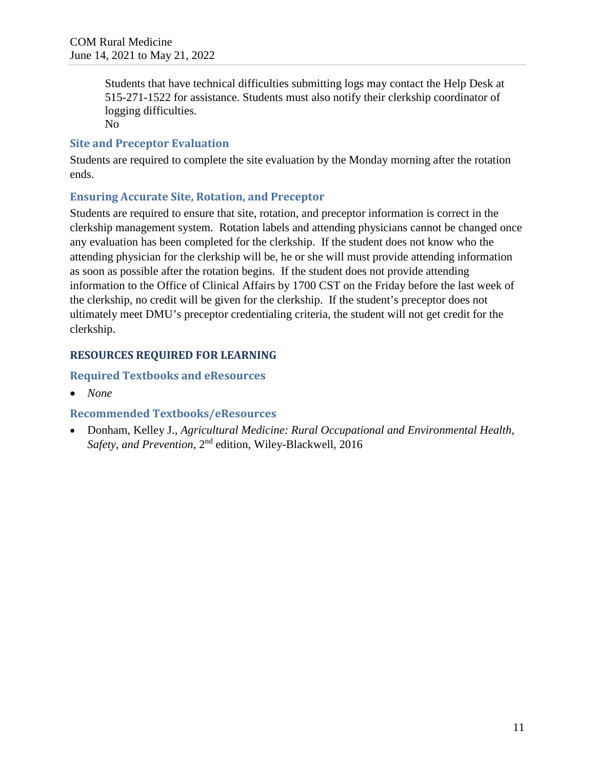Students that have technical difficulties submitting logs may contact the Help Desk at 515-271-1522 for assistance. Students must also notify their clerkship coordinator of logging difficulties.

No

#### **Site and Preceptor Evaluation**

Students are required to complete the site evaluation by the Monday morning after the rotation ends.

# **Ensuring Accurate Site, Rotation, and Preceptor**

Students are required to ensure that site, rotation, and preceptor information is correct in the clerkship management system. Rotation labels and attending physicians cannot be changed once any evaluation has been completed for the clerkship. If the student does not know who the attending physician for the clerkship will be, he or she will must provide attending information as soon as possible after the rotation begins. If the student does not provide attending information to the Office of Clinical Affairs by 1700 CST on the Friday before the last week of the clerkship, no credit will be given for the clerkship. If the student's preceptor does not ultimately meet DMU's preceptor credentialing criteria, the student will not get credit for the clerkship.

# **RESOURCES REQUIRED FOR LEARNING**

# **Required Textbooks and eResources**

• *None*

## **Recommended Textbooks/eResources**

• Donham, Kelley J., *Agricultural Medicine: Rural Occupational and Environmental Health, Safety, and Prevention*, 2nd edition, Wiley-Blackwell, 2016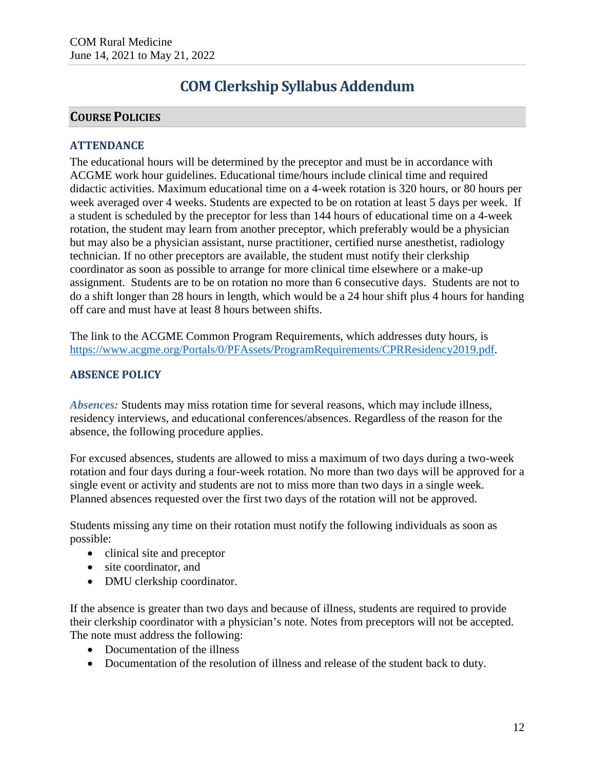# **COM Clerkship Syllabus Addendum**

# **COURSE POLICIES**

## **ATTENDANCE**

The educational hours will be determined by the preceptor and must be in accordance with ACGME work hour guidelines. Educational time/hours include clinical time and required didactic activities. Maximum educational time on a 4-week rotation is 320 hours, or 80 hours per week averaged over 4 weeks. Students are expected to be on rotation at least 5 days per week. If a student is scheduled by the preceptor for less than 144 hours of educational time on a 4-week rotation, the student may learn from another preceptor, which preferably would be a physician but may also be a physician assistant, nurse practitioner, certified nurse anesthetist, radiology technician. If no other preceptors are available, the student must notify their clerkship coordinator as soon as possible to arrange for more clinical time elsewhere or a make-up assignment. Students are to be on rotation no more than 6 consecutive days. Students are not to do a shift longer than 28 hours in length, which would be a 24 hour shift plus 4 hours for handing off care and must have at least 8 hours between shifts.

The link to the ACGME Common Program Requirements, which addresses duty hours, is [https://www.acgme.org/Portals/0/PFAssets/ProgramRequirements/CPRResidency2019.pdf.](https://www.acgme.org/Portals/0/PFAssets/ProgramRequirements/CPRResidency2019.pdf)

## **ABSENCE POLICY**

*Absences:* Students may miss rotation time for several reasons, which may include illness, residency interviews, and educational conferences/absences. Regardless of the reason for the absence, the following procedure applies.

For excused absences, students are allowed to miss a maximum of two days during a two-week rotation and four days during a four-week rotation. No more than two days will be approved for a single event or activity and students are not to miss more than two days in a single week. Planned absences requested over the first two days of the rotation will not be approved.

Students missing any time on their rotation must notify the following individuals as soon as possible:

- clinical site and preceptor
- site coordinator, and
- DMU clerkship coordinator.

If the absence is greater than two days and because of illness, students are required to provide their clerkship coordinator with a physician's note. Notes from preceptors will not be accepted. The note must address the following:

- Documentation of the illness
- Documentation of the resolution of illness and release of the student back to duty.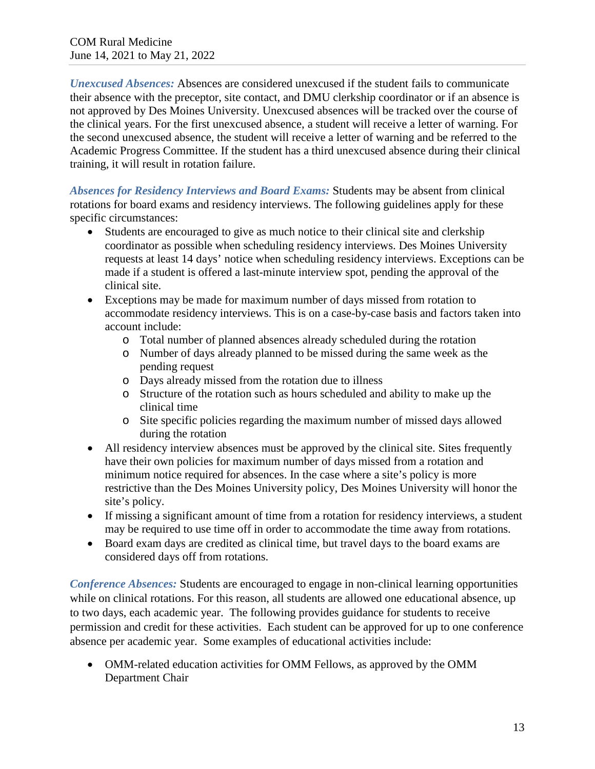*Unexcused Absences:* Absences are considered unexcused if the student fails to communicate their absence with the preceptor, site contact, and DMU clerkship coordinator or if an absence is not approved by Des Moines University. Unexcused absences will be tracked over the course of the clinical years. For the first unexcused absence, a student will receive a letter of warning. For the second unexcused absence, the student will receive a letter of warning and be referred to the Academic Progress Committee. If the student has a third unexcused absence during their clinical training, it will result in rotation failure.

*Absences for Residency Interviews and Board Exams:* Students may be absent from clinical rotations for board exams and residency interviews. The following guidelines apply for these specific circumstances:

- Students are encouraged to give as much notice to their clinical site and clerkship coordinator as possible when scheduling residency interviews. Des Moines University requests at least 14 days' notice when scheduling residency interviews. Exceptions can be made if a student is offered a last-minute interview spot, pending the approval of the clinical site.
- Exceptions may be made for maximum number of days missed from rotation to accommodate residency interviews. This is on a case-by-case basis and factors taken into account include:
	- o Total number of planned absences already scheduled during the rotation
	- o Number of days already planned to be missed during the same week as the pending request
	- o Days already missed from the rotation due to illness
	- o Structure of the rotation such as hours scheduled and ability to make up the clinical time
	- o Site specific policies regarding the maximum number of missed days allowed during the rotation
- All residency interview absences must be approved by the clinical site. Sites frequently have their own policies for maximum number of days missed from a rotation and minimum notice required for absences. In the case where a site's policy is more restrictive than the Des Moines University policy, Des Moines University will honor the site's policy.
- If missing a significant amount of time from a rotation for residency interviews, a student may be required to use time off in order to accommodate the time away from rotations.
- Board exam days are credited as clinical time, but travel days to the board exams are considered days off from rotations.

*Conference Absences:* Students are encouraged to engage in non-clinical learning opportunities while on clinical rotations. For this reason, all students are allowed one educational absence, up to two days, each academic year. The following provides guidance for students to receive permission and credit for these activities. Each student can be approved for up to one conference absence per academic year. Some examples of educational activities include:

• OMM-related education activities for OMM Fellows, as approved by the OMM Department Chair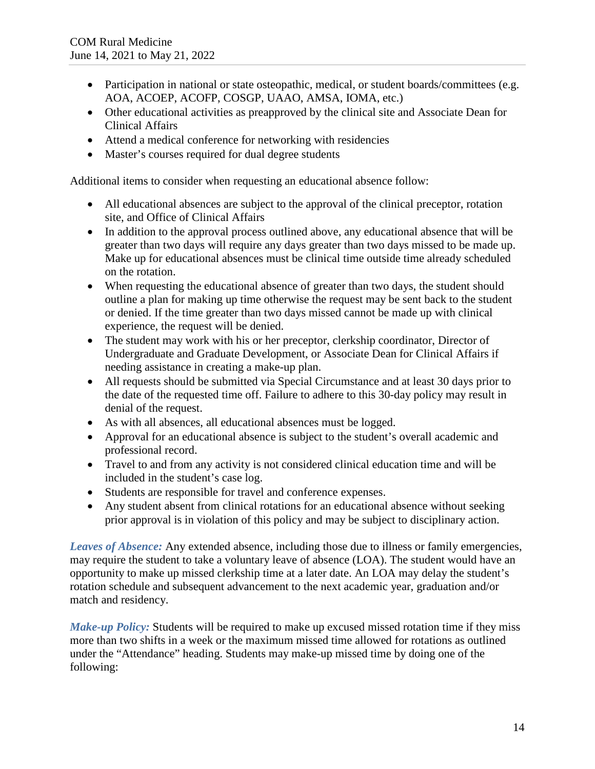- Participation in national or state osteopathic, medical, or student boards/committees (e.g. AOA, ACOEP, ACOFP, COSGP, UAAO, AMSA, IOMA, etc.)
- Other educational activities as preapproved by the clinical site and Associate Dean for Clinical Affairs
- Attend a medical conference for networking with residencies
- Master's courses required for dual degree students

Additional items to consider when requesting an educational absence follow:

- All educational absences are subject to the approval of the clinical preceptor, rotation site, and Office of Clinical Affairs
- In addition to the approval process outlined above, any educational absence that will be greater than two days will require any days greater than two days missed to be made up. Make up for educational absences must be clinical time outside time already scheduled on the rotation.
- When requesting the educational absence of greater than two days, the student should outline a plan for making up time otherwise the request may be sent back to the student or denied. If the time greater than two days missed cannot be made up with clinical experience, the request will be denied.
- The student may work with his or her preceptor, clerkship coordinator, Director of Undergraduate and Graduate Development, or Associate Dean for Clinical Affairs if needing assistance in creating a make-up plan.
- All requests should be submitted via Special Circumstance and at least 30 days prior to the date of the requested time off. Failure to adhere to this 30-day policy may result in denial of the request.
- As with all absences, all educational absences must be logged.
- Approval for an educational absence is subject to the student's overall academic and professional record.
- Travel to and from any activity is not considered clinical education time and will be included in the student's case log.
- Students are responsible for travel and conference expenses.
- Any student absent from clinical rotations for an educational absence without seeking prior approval is in violation of this policy and may be subject to disciplinary action.

*Leaves of Absence:* Any extended absence, including those due to illness or family emergencies, may require the student to take a voluntary leave of absence (LOA). The student would have an opportunity to make up missed clerkship time at a later date. An LOA may delay the student's rotation schedule and subsequent advancement to the next academic year, graduation and/or match and residency.

*Make-up Policy:* Students will be required to make up excused missed rotation time if they miss more than two shifts in a week or the maximum missed time allowed for rotations as outlined under the "Attendance" heading. Students may make-up missed time by doing one of the following: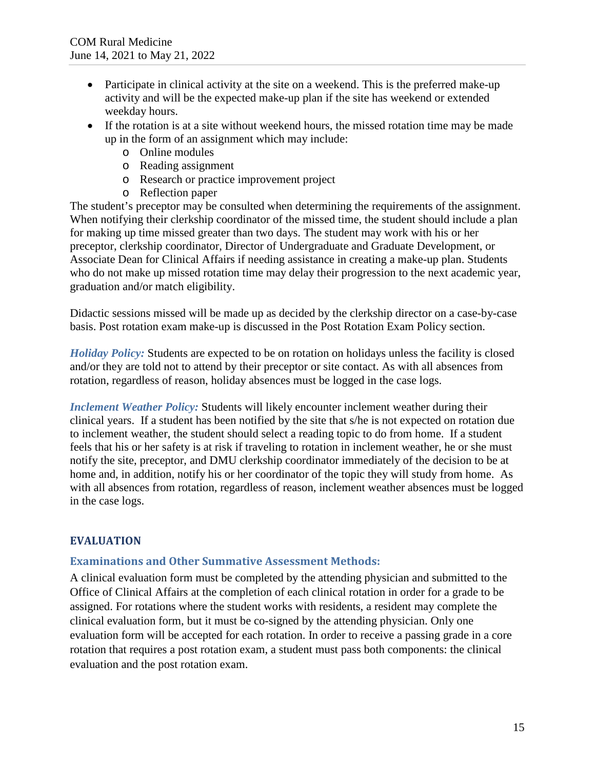- Participate in clinical activity at the site on a weekend. This is the preferred make-up activity and will be the expected make-up plan if the site has weekend or extended weekday hours.
- If the rotation is at a site without weekend hours, the missed rotation time may be made up in the form of an assignment which may include:
	- o Online modules
	- o Reading assignment
	- o Research or practice improvement project
	- o Reflection paper

The student's preceptor may be consulted when determining the requirements of the assignment. When notifying their clerkship coordinator of the missed time, the student should include a plan for making up time missed greater than two days. The student may work with his or her preceptor, clerkship coordinator, Director of Undergraduate and Graduate Development, or Associate Dean for Clinical Affairs if needing assistance in creating a make-up plan. Students who do not make up missed rotation time may delay their progression to the next academic year, graduation and/or match eligibility.

Didactic sessions missed will be made up as decided by the clerkship director on a case-by-case basis. Post rotation exam make-up is discussed in the Post Rotation Exam Policy section.

*Holiday Policy:* Students are expected to be on rotation on holidays unless the facility is closed and/or they are told not to attend by their preceptor or site contact. As with all absences from rotation, regardless of reason, holiday absences must be logged in the case logs.

*Inclement Weather Policy:* Students will likely encounter inclement weather during their clinical years. If a student has been notified by the site that s/he is not expected on rotation due to inclement weather, the student should select a reading topic to do from home. If a student feels that his or her safety is at risk if traveling to rotation in inclement weather, he or she must notify the site, preceptor, and DMU clerkship coordinator immediately of the decision to be at home and, in addition, notify his or her coordinator of the topic they will study from home. As with all absences from rotation, regardless of reason, inclement weather absences must be logged in the case logs.

## **EVALUATION**

## **Examinations and Other Summative Assessment Methods:**

A clinical evaluation form must be completed by the attending physician and submitted to the Office of Clinical Affairs at the completion of each clinical rotation in order for a grade to be assigned. For rotations where the student works with residents, a resident may complete the clinical evaluation form, but it must be co-signed by the attending physician. Only one evaluation form will be accepted for each rotation. In order to receive a passing grade in a core rotation that requires a post rotation exam, a student must pass both components: the clinical evaluation and the post rotation exam.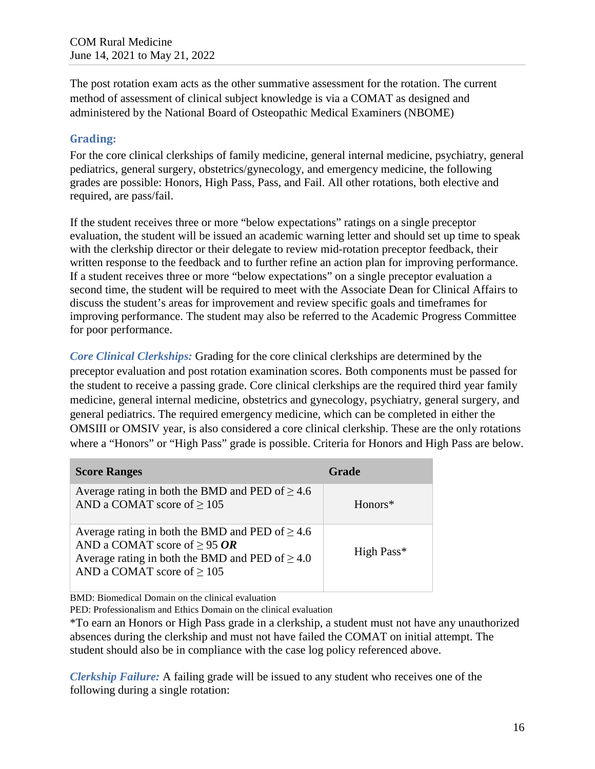The post rotation exam acts as the other summative assessment for the rotation. The current method of assessment of clinical subject knowledge is via a COMAT as designed and administered by the National Board of Osteopathic Medical Examiners (NBOME)

# **Grading:**

For the core clinical clerkships of family medicine, general internal medicine, psychiatry, general pediatrics, general surgery, obstetrics/gynecology, and emergency medicine, the following grades are possible: Honors, High Pass, Pass, and Fail. All other rotations, both elective and required, are pass/fail.

If the student receives three or more "below expectations" ratings on a single preceptor evaluation, the student will be issued an academic warning letter and should set up time to speak with the clerkship director or their delegate to review mid-rotation preceptor feedback, their written response to the feedback and to further refine an action plan for improving performance. If a student receives three or more "below expectations" on a single preceptor evaluation a second time, the student will be required to meet with the Associate Dean for Clinical Affairs to discuss the student's areas for improvement and review specific goals and timeframes for improving performance. The student may also be referred to the Academic Progress Committee for poor performance.

*Core Clinical Clerkships:* Grading for the core clinical clerkships are determined by the preceptor evaluation and post rotation examination scores. Both components must be passed for the student to receive a passing grade. Core clinical clerkships are the required third year family medicine, general internal medicine, obstetrics and gynecology, psychiatry, general surgery, and general pediatrics. The required emergency medicine, which can be completed in either the OMSIII or OMSIV year, is also considered a core clinical clerkship. These are the only rotations where a "Honors" or "High Pass" grade is possible. Criteria for Honors and High Pass are below.

| <b>Score Ranges</b>                                                                                                                                                                  | <b>Grade</b> |
|--------------------------------------------------------------------------------------------------------------------------------------------------------------------------------------|--------------|
| Average rating in both the BMD and PED of $\geq 4.6$<br>AND a COMAT score of $\geq$ 105                                                                                              | $Honors*$    |
| Average rating in both the BMD and PED of $\geq 4.6$<br>AND a COMAT score of $\geq$ 95 OR<br>Average rating in both the BMD and PED of $\geq 4.0$<br>AND a COMAT score of $\geq 105$ | High Pass*   |

BMD: Biomedical Domain on the clinical evaluation

PED: Professionalism and Ethics Domain on the clinical evaluation

\*To earn an Honors or High Pass grade in a clerkship, a student must not have any unauthorized absences during the clerkship and must not have failed the COMAT on initial attempt. The student should also be in compliance with the case log policy referenced above.

*Clerkship Failure:* A failing grade will be issued to any student who receives one of the following during a single rotation: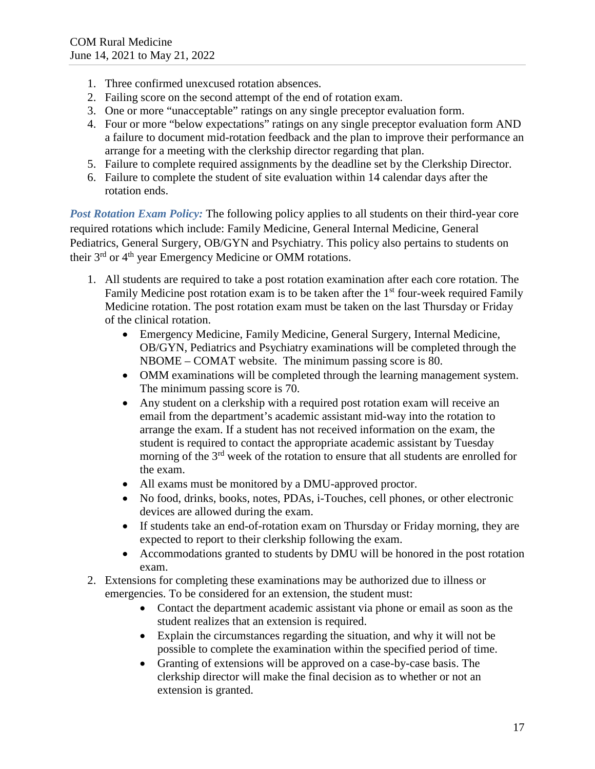- 1. Three confirmed unexcused rotation absences.
- 2. Failing score on the second attempt of the end of rotation exam.
- 3. One or more "unacceptable" ratings on any single preceptor evaluation form.
- 4. Four or more "below expectations" ratings on any single preceptor evaluation form AND a failure to document mid-rotation feedback and the plan to improve their performance an arrange for a meeting with the clerkship director regarding that plan.
- 5. Failure to complete required assignments by the deadline set by the Clerkship Director.
- 6. Failure to complete the student of site evaluation within 14 calendar days after the rotation ends.

*Post Rotation Exam Policy:* The following policy applies to all students on their third-year core required rotations which include: Family Medicine, General Internal Medicine, General Pediatrics, General Surgery, OB/GYN and Psychiatry. This policy also pertains to students on their 3rd or 4th year Emergency Medicine or OMM rotations.

- 1. All students are required to take a post rotation examination after each core rotation. The Family Medicine post rotation exam is to be taken after the  $1<sup>st</sup>$  four-week required Family Medicine rotation. The post rotation exam must be taken on the last Thursday or Friday of the clinical rotation.
	- Emergency Medicine, Family Medicine, General Surgery, Internal Medicine, OB/GYN, Pediatrics and Psychiatry examinations will be completed through the NBOME – COMAT website. The minimum passing score is 80.
	- OMM examinations will be completed through the learning management system. The minimum passing score is 70.
	- Any student on a clerkship with a required post rotation exam will receive an email from the department's academic assistant mid-way into the rotation to arrange the exam. If a student has not received information on the exam, the student is required to contact the appropriate academic assistant by Tuesday morning of the 3<sup>rd</sup> week of the rotation to ensure that all students are enrolled for the exam.
	- All exams must be monitored by a DMU-approved proctor.
	- No food, drinks, books, notes, PDAs, i-Touches, cell phones, or other electronic devices are allowed during the exam.
	- If students take an end-of-rotation exam on Thursday or Friday morning, they are expected to report to their clerkship following the exam.
	- Accommodations granted to students by DMU will be honored in the post rotation exam.
- 2. Extensions for completing these examinations may be authorized due to illness or emergencies. To be considered for an extension, the student must:
	- Contact the department academic assistant via phone or email as soon as the student realizes that an extension is required.
	- Explain the circumstances regarding the situation, and why it will not be possible to complete the examination within the specified period of time.
	- Granting of extensions will be approved on a case-by-case basis. The clerkship director will make the final decision as to whether or not an extension is granted.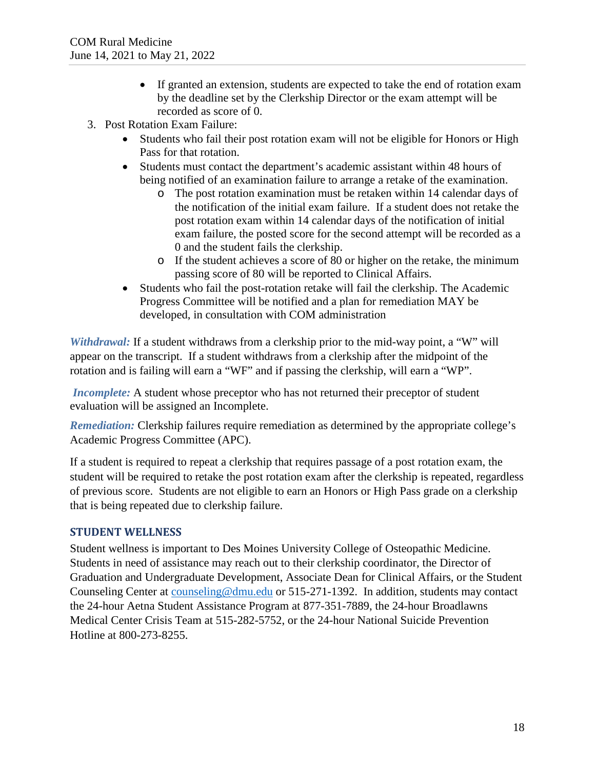- If granted an extension, students are expected to take the end of rotation exam by the deadline set by the Clerkship Director or the exam attempt will be recorded as score of 0.
- 3. Post Rotation Exam Failure:
	- Students who fail their post rotation exam will not be eligible for Honors or High Pass for that rotation.
	- Students must contact the department's academic assistant within 48 hours of being notified of an examination failure to arrange a retake of the examination.
		- o The post rotation examination must be retaken within 14 calendar days of the notification of the initial exam failure. If a student does not retake the post rotation exam within 14 calendar days of the notification of initial exam failure, the posted score for the second attempt will be recorded as a 0 and the student fails the clerkship.
		- o If the student achieves a score of 80 or higher on the retake, the minimum passing score of 80 will be reported to Clinical Affairs.
	- Students who fail the post-rotation retake will fail the clerkship. The Academic Progress Committee will be notified and a plan for remediation MAY be developed, in consultation with COM administration

*Withdrawal:* If a student withdraws from a clerkship prior to the mid-way point, a "W" will appear on the transcript. If a student withdraws from a clerkship after the midpoint of the rotation and is failing will earn a "WF" and if passing the clerkship, will earn a "WP".

*Incomplete:* A student whose preceptor who has not returned their preceptor of student evaluation will be assigned an Incomplete.

*Remediation:* Clerkship failures require remediation as determined by the appropriate college's Academic Progress Committee (APC).

If a student is required to repeat a clerkship that requires passage of a post rotation exam, the student will be required to retake the post rotation exam after the clerkship is repeated, regardless of previous score. Students are not eligible to earn an Honors or High Pass grade on a clerkship that is being repeated due to clerkship failure.

## **STUDENT WELLNESS**

Student wellness is important to Des Moines University College of Osteopathic Medicine. Students in need of assistance may reach out to their clerkship coordinator, the Director of Graduation and Undergraduate Development, Associate Dean for Clinical Affairs, or the Student Counseling Center at [counseling@dmu.edu](mailto:counseling@dmu.edu) or 515-271-1392. In addition, students may contact the 24-hour Aetna Student Assistance Program at 877-351-7889, the 24-hour Broadlawns Medical Center Crisis Team at 515-282-5752, or the 24-hour National Suicide Prevention Hotline at 800-273-8255.